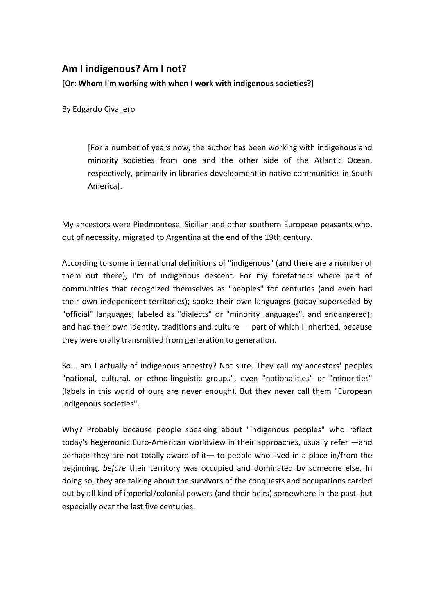## **Am I indigenous? Am I not?**

**[Or: Whom I'm working with when I work with indigenous societies?]** 

By Edgardo Civallero

[For a number of years now, the author has been working with indigenous and minority societies from one and the other side of the Atlantic Ocean, respectively, primarily in libraries development in native communities in South America].

My ancestors were Piedmontese, Sicilian and other southern European peasants who, out of necessity, migrated to Argentina at the end of the 19th century.

According to some international definitions of "indigenous" (and there are a number of them out there), I'm of indigenous descent. For my forefathers where part of communities that recognized themselves as "peoples" for centuries (and even had their own independent territories); spoke their own languages (today superseded by "official" languages, labeled as "dialects" or "minority languages", and endangered); and had their own identity, traditions and culture  $-$  part of which I inherited, because they were orally transmitted from generation to generation.

So... am I actually of indigenous ancestry? Not sure. They call my ancestors' peoples "national, cultural, or ethno-linguistic groups", even "nationalities" or "minorities" (labels in this world of ours are never enough). But they never call them "European indigenous societies".

Why? Probably because people speaking about "indigenous peoples" who reflect today's hegemonic Euro-American worldview in their approaches, usually refer —and perhaps they are not totally aware of it— to people who lived in a place in/from the beginning, *before* their territory was occupied and dominated by someone else. In doing so, they are talking about the survivors of the conquests and occupations carried out by all kind of imperial/colonial powers (and their heirs) somewhere in the past, but especially over the last five centuries.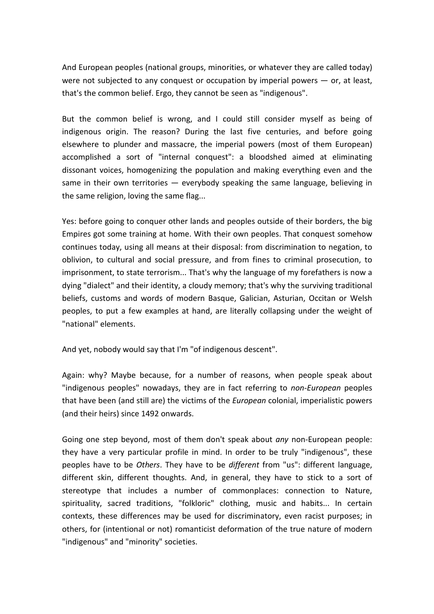And European peoples (national groups, minorities, or whatever they are called today) were not subjected to any conquest or occupation by imperial powers — or, at least, that's the common belief. Ergo, they cannot be seen as "indigenous".

But the common belief is wrong, and I could still consider myself as being of indigenous origin. The reason? During the last five centuries, and before going elsewhere to plunder and massacre, the imperial powers (most of them European) accomplished a sort of "internal conquest": a bloodshed aimed at eliminating dissonant voices, homogenizing the population and making everything even and the same in their own territories  $-$  everybody speaking the same language, believing in the same religion, loving the same flag...

Yes: before going to conquer other lands and peoples outside of their borders, the big Empires got some training at home. With their own peoples. That conquest somehow continues today, using all means at their disposal: from discrimination to negation, to oblivion, to cultural and social pressure, and from fines to criminal prosecution, to imprisonment, to state terrorism... That's why the language of my forefathers is now a dying "dialect" and their identity, a cloudy memory; that's why the surviving traditional beliefs, customs and words of modern Basque, Galician, Asturian, Occitan or Welsh peoples, to put a few examples at hand, are literally collapsing under the weight of "national" elements.

And yet, nobody would say that I'm "of indigenous descent".

Again: why? Maybe because, for a number of reasons, when people speak about "indigenous peoples" nowadays, they are in fact referring to *non-European* peoples that have been (and still are) the victims of the *European* colonial, imperialistic powers (and their heirs) since 1492 onwards.

Going one step beyond, most of them don't speak about *any* non-European people: they have a very particular profile in mind. In order to be truly "indigenous", these peoples have to be *Others*. They have to be *different* from "us": different language, different skin, different thoughts. And, in general, they have to stick to a sort of stereotype that includes a number of commonplaces: connection to Nature, spirituality, sacred traditions, "folkloric" clothing, music and habits... In certain contexts, these differences may be used for discriminatory, even racist purposes; in others, for (intentional or not) romanticist deformation of the true nature of modern "indigenous" and "minority" societies.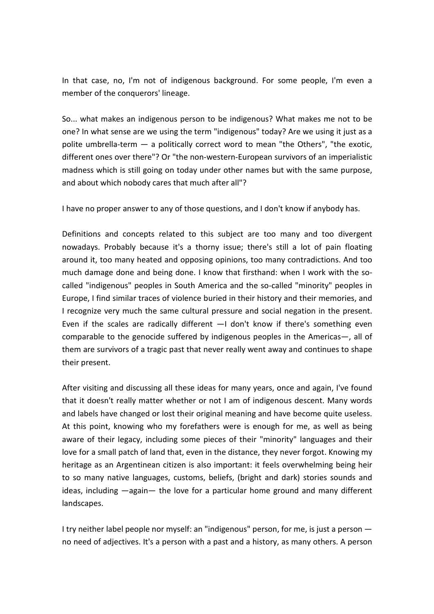In that case, no, I'm not of indigenous background. For some people, I'm even a member of the conquerors' lineage.

So... what makes an indigenous person to be indigenous? What makes me not to be one? In what sense are we using the term "indigenous" today? Are we using it just as a polite umbrella-term — a politically correct word to mean "the Others", "the exotic, different ones over there"? Or "the non-western-European survivors of an imperialistic madness which is still going on today under other names but with the same purpose, and about which nobody cares that much after all"?

I have no proper answer to any of those questions, and I don't know if anybody has.

Definitions and concepts related to this subject are too many and too divergent nowadays. Probably because it's a thorny issue; there's still a lot of pain floating around it, too many heated and opposing opinions, too many contradictions. And too much damage done and being done. I know that firsthand: when I work with the socalled "indigenous" peoples in South America and the so-called "minority" peoples in Europe, I find similar traces of violence buried in their history and their memories, and I recognize very much the same cultural pressure and social negation in the present. Even if the scales are radically different —I don't know if there's something even comparable to the genocide suffered by indigenous peoples in the Americas—, all of them are survivors of a tragic past that never really went away and continues to shape their present.

After visiting and discussing all these ideas for many years, once and again, I've found that it doesn't really matter whether or not I am of indigenous descent. Many words and labels have changed or lost their original meaning and have become quite useless. At this point, knowing who my forefathers were is enough for me, as well as being aware of their legacy, including some pieces of their "minority" languages and their love for a small patch of land that, even in the distance, they never forgot. Knowing my heritage as an Argentinean citizen is also important: it feels overwhelming being heir to so many native languages, customs, beliefs, (bright and dark) stories sounds and ideas, including —again— the love for a particular home ground and many different landscapes.

I try neither label people nor myself: an "indigenous" person, for me, is just a person no need of adjectives. It's a person with a past and a history, as many others. A person